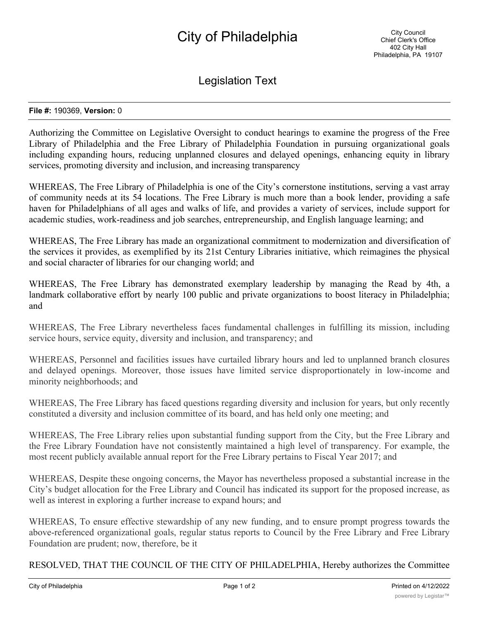## City of Philadelphia

Legislation Text

## **File #:** 190369, **Version:** 0

Authorizing the Committee on Legislative Oversight to conduct hearings to examine the progress of the Free Library of Philadelphia and the Free Library of Philadelphia Foundation in pursuing organizational goals including expanding hours, reducing unplanned closures and delayed openings, enhancing equity in library services, promoting diversity and inclusion, and increasing transparency

WHEREAS, The Free Library of Philadelphia is one of the City's cornerstone institutions, serving a vast array of community needs at its 54 locations. The Free Library is much more than a book lender, providing a safe haven for Philadelphians of all ages and walks of life, and provides a variety of services, include support for academic studies, work-readiness and job searches, entrepreneurship, and English language learning; and

WHEREAS, The Free Library has made an organizational commitment to modernization and diversification of the services it provides, as exemplified by its 21st Century Libraries initiative, which reimagines the physical and social character of libraries for our changing world; and

WHEREAS, The Free Library has demonstrated exemplary leadership by managing the Read by 4th, a landmark collaborative effort by nearly 100 public and private organizations to boost literacy in Philadelphia; and

WHEREAS, The Free Library nevertheless faces fundamental challenges in fulfilling its mission, including service hours, service equity, diversity and inclusion, and transparency; and

WHEREAS, Personnel and facilities issues have curtailed library hours and led to unplanned branch closures and delayed openings. Moreover, those issues have limited service disproportionately in low-income and minority neighborhoods; and

WHEREAS, The Free Library has faced questions regarding diversity and inclusion for years, but only recently constituted a diversity and inclusion committee of its board, and has held only one meeting; and

WHEREAS, The Free Library relies upon substantial funding support from the City, but the Free Library and the Free Library Foundation have not consistently maintained a high level of transparency. For example, the most recent publicly available annual report for the Free Library pertains to Fiscal Year 2017; and

WHEREAS, Despite these ongoing concerns, the Mayor has nevertheless proposed a substantial increase in the City's budget allocation for the Free Library and Council has indicated its support for the proposed increase, as well as interest in exploring a further increase to expand hours; and

WHEREAS, To ensure effective stewardship of any new funding, and to ensure prompt progress towards the above-referenced organizational goals, regular status reports to Council by the Free Library and Free Library Foundation are prudent; now, therefore, be it

RESOLVED, THAT THE COUNCIL OF THE CITY OF PHILADELPHIA, Hereby authorizes the Committee